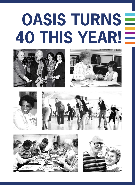## **OASIS TURNS 40 THIS YEAR!**











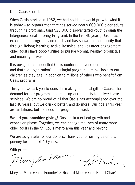Dear Oasis Friend,

When Oasis started in 1982, we had no idea it would grow to what it is today – an organization that has served nearly 600,000 older adults through its programs, (and 525,000 disadvantaged youth through the Intergenerational Tutoring Program). In the last 40 years, Oasis has expanded its programs and reach and has shown the community that through lifelong learning, active lifestyles, and volunteer engagement, older adults have opportunities to pursue vibrant, healthy, productive, and meaningful lives.

It is our greatest hope that Oasis continues beyond our lifetimes and that the organization's meaningful programs are available to our children as they age, in addition to millions of others who benefit from Oasis programs.

This year, we ask you to consider making a special gift to Oasis. The demand for our programs is outpacing our capacity to deliver these services. We are so proud of all that Oasis has accomplished over the last 40 years, but we can do better, and do more. Our goals this year are ambitious, but the need for programs is vast.

**Would you consider giving?** Oasis is in a critical growth and expansion phase. Together, we can change the lives of many more older adults in the St. Louis metro area this year and beyond.

We are so grateful for our donors. Thank you for joining us on this journey for the next 40 years.

With gratitude,<br>Man, len Man

Marylen Mann (Oasis Founder) & Richard Miles (Oasis Board Chair)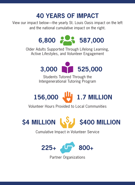## **40 YEARS OF IMPACT**

View our impact below—the yearly St. Louis Oasis impact on the left and the national cumulative impact on the right.



Older Adults Supported Through Lifelong Learning, Active Lifestyles, and Volunteer Engagement



Students Tutored Through the Intergenerational Tutoring Program

## **156,000 1.7 MILLION**

Volunteer Hours Provided to Local Communities



Cumulative Impact in Volunteer Service



Partner Organizations